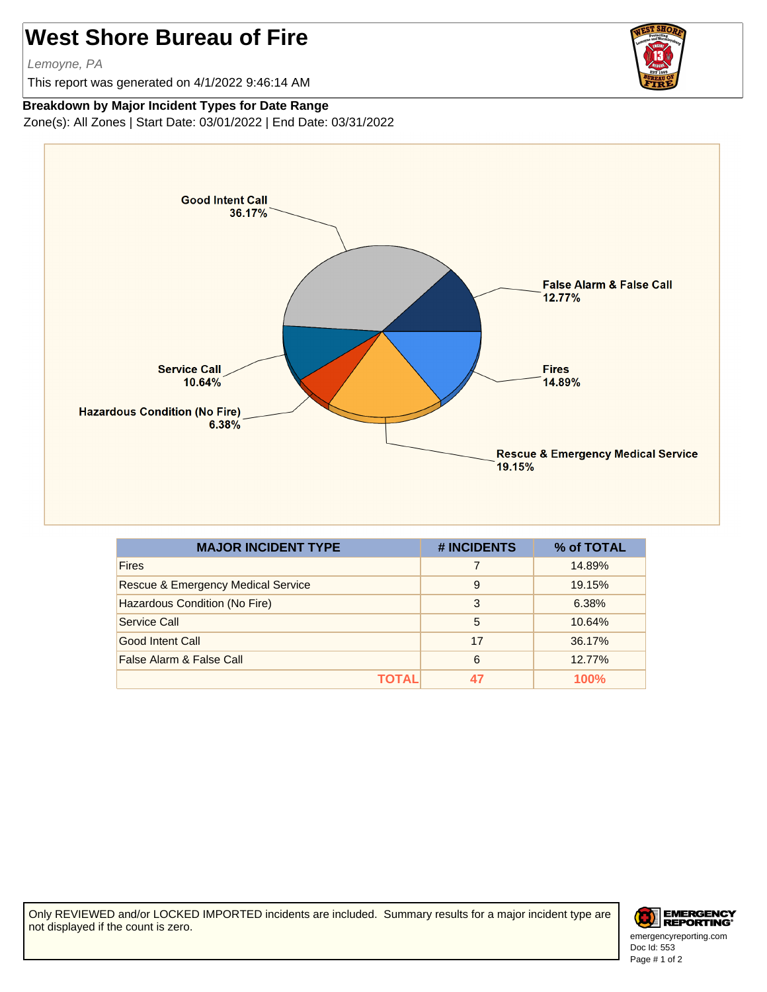## **West Shore Bureau of Fire**

Lemoyne, PA

This report was generated on 4/1/2022 9:46:14 AM



## **Breakdown by Major Incident Types for Date Range**

Zone(s): All Zones | Start Date: 03/01/2022 | End Date: 03/31/2022



| <b>MAJOR INCIDENT TYPE</b>         | # INCIDENTS | % of TOTAL |
|------------------------------------|-------------|------------|
| <b>Fires</b>                       | 7           | 14.89%     |
| Rescue & Emergency Medical Service | 9           | 19.15%     |
| Hazardous Condition (No Fire)      | 3           | 6.38%      |
| Service Call                       | 5           | 10.64%     |
| Good Intent Call                   | 17          | 36.17%     |
| False Alarm & False Call           | 6           | 12.77%     |
| ΤΟΤΑL                              |             | 100%       |

Only REVIEWED and/or LOCKED IMPORTED incidents are included. Summary results for a major incident type are not displayed if the count is zero.



Doc Id: 553 emergencyreporting.com Page # 1 of 2